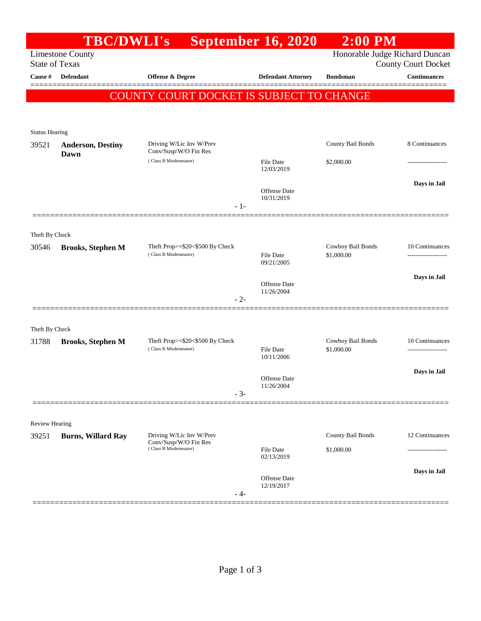|                                                                                    | <b>TBC/DWLI's</b>                                                           |                                                                            | <b>September 16, 2020</b>         | <b>2:00 PM</b>                  |                                                   |  |
|------------------------------------------------------------------------------------|-----------------------------------------------------------------------------|----------------------------------------------------------------------------|-----------------------------------|---------------------------------|---------------------------------------------------|--|
| Honorable Judge Richard Duncan<br><b>Limestone County</b><br><b>State of Texas</b> |                                                                             |                                                                            |                                   |                                 |                                                   |  |
| Cause #                                                                            | Defendant                                                                   | Offense & Degree                                                           | <b>Defendant Attorney</b>         | <b>Bondsman</b>                 | <b>County Court Docket</b><br><b>Continuances</b> |  |
|                                                                                    |                                                                             |                                                                            |                                   |                                 |                                                   |  |
|                                                                                    |                                                                             | COUNTY COURT DOCKET IS SUBJECT TO CHANGE                                   |                                   |                                 |                                                   |  |
|                                                                                    |                                                                             |                                                                            |                                   |                                 |                                                   |  |
| <b>Status Hearing</b>                                                              |                                                                             |                                                                            |                                   |                                 |                                                   |  |
| 39521                                                                              | <b>Anderson, Destiny</b><br>Dawn                                            | Driving W/Lic Inv W/Prev<br>Conv/Susp/W/O Fin Res<br>(Class B Misdemeanor) |                                   | County Bail Bonds               | 8 Continuances                                    |  |
|                                                                                    |                                                                             |                                                                            | File Date                         | \$2,000.00                      |                                                   |  |
|                                                                                    |                                                                             |                                                                            | 12/03/2019                        |                                 |                                                   |  |
|                                                                                    |                                                                             |                                                                            | Offense Date                      |                                 | Days in Jail                                      |  |
|                                                                                    |                                                                             | $-1-$                                                                      | 10/31/2019                        |                                 |                                                   |  |
|                                                                                    |                                                                             |                                                                            |                                   |                                 |                                                   |  |
| Theft By Check                                                                     |                                                                             |                                                                            |                                   |                                 |                                                   |  |
| 30546                                                                              | <b>Brooks, Stephen M</b>                                                    | Theft Prop>=\$20<\$500 By Check<br>(Class B Misdemeanor)                   | <b>File Date</b>                  | Cowboy Bail Bonds<br>\$1,000.00 | 10 Continuances                                   |  |
|                                                                                    |                                                                             |                                                                            | 09/21/2005                        |                                 |                                                   |  |
|                                                                                    |                                                                             |                                                                            | Offense Date                      |                                 | Days in Jail                                      |  |
|                                                                                    |                                                                             | $-2-$                                                                      | 11/26/2004                        |                                 |                                                   |  |
|                                                                                    |                                                                             |                                                                            |                                   |                                 |                                                   |  |
| Theft By Check                                                                     |                                                                             |                                                                            |                                   |                                 |                                                   |  |
| 31788                                                                              | <b>Brooks, Stephen M</b>                                                    | Theft Prop>=\$20<\$500 By Check<br>(Class B Misdemeanor)                   |                                   | Cowboy Bail Bonds               | 10 Continuances                                   |  |
|                                                                                    |                                                                             |                                                                            | File Date<br>10/11/2006           | \$1,000.00                      | ---------------                                   |  |
|                                                                                    |                                                                             |                                                                            |                                   |                                 | Days in Jail                                      |  |
|                                                                                    |                                                                             |                                                                            | <b>Offense Date</b><br>11/26/2004 |                                 |                                                   |  |
|                                                                                    |                                                                             | $-3-$                                                                      |                                   |                                 |                                                   |  |
|                                                                                    |                                                                             |                                                                            |                                   |                                 |                                                   |  |
| Review Hearing                                                                     |                                                                             | Driving W/Lic Inv W/Prev                                                   |                                   | County Bail Bonds               | 12 Continuances                                   |  |
| 39251                                                                              | <b>Burns, Willard Ray</b><br>Conv/Susp/W/O Fin Res<br>(Class B Misdemeanor) |                                                                            | <b>File Date</b>                  | \$1,000.00                      |                                                   |  |
|                                                                                    |                                                                             |                                                                            | 02/13/2019                        |                                 |                                                   |  |
|                                                                                    |                                                                             |                                                                            | Offense Date                      |                                 | Days in Jail                                      |  |
|                                                                                    |                                                                             | - 4-                                                                       | 12/19/2017                        |                                 |                                                   |  |
|                                                                                    |                                                                             |                                                                            |                                   |                                 |                                                   |  |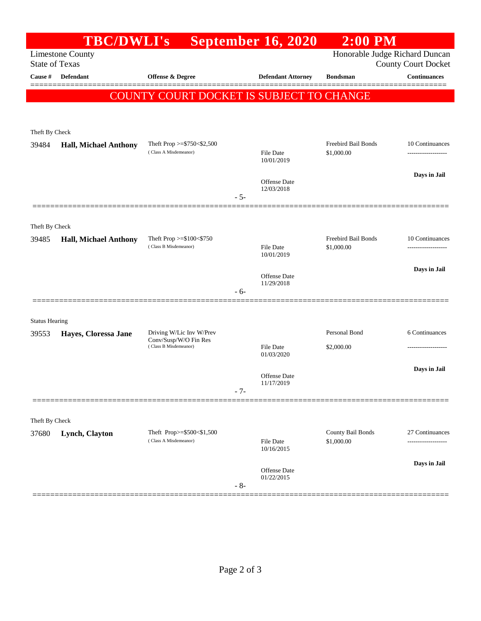|                                                  | <b>TBC/DWLI's</b>            |                                                            |       | <b>September 16, 2020</b>         | $2:00$ PM                                                    |                     |
|--------------------------------------------------|------------------------------|------------------------------------------------------------|-------|-----------------------------------|--------------------------------------------------------------|---------------------|
| <b>Limestone County</b><br><b>State of Texas</b> |                              |                                                            |       |                                   | Honorable Judge Richard Duncan<br><b>County Court Docket</b> |                     |
| Cause #                                          | <b>Defendant</b>             | <b>Offense &amp; Degree</b>                                |       | <b>Defendant Attorney</b>         | <b>Bondsman</b>                                              | <b>Continuances</b> |
|                                                  |                              | COUNTY COURT DOCKET IS SUBJECT TO CHANGE                   |       |                                   |                                                              |                     |
|                                                  |                              |                                                            |       |                                   |                                                              |                     |
|                                                  |                              |                                                            |       |                                   |                                                              |                     |
| Theft By Check                                   |                              |                                                            |       |                                   |                                                              |                     |
| 39484                                            | <b>Hall, Michael Anthony</b> | Theft Prop $>=$ \$750 $<$ \$2,500<br>(Class A Misdemeanor) |       | <b>File Date</b>                  | Freebird Bail Bonds<br>\$1,000.00                            | 10 Continuances     |
|                                                  |                              |                                                            |       | 10/01/2019                        |                                                              |                     |
|                                                  |                              |                                                            |       | Offense Date                      |                                                              | Days in Jail        |
|                                                  |                              |                                                            | $-5-$ | 12/03/2018                        |                                                              |                     |
|                                                  |                              |                                                            |       |                                   |                                                              |                     |
| Theft By Check                                   |                              |                                                            |       |                                   |                                                              |                     |
| 39485                                            | <b>Hall, Michael Anthony</b> | Theft Prop $>= $100 < $750$                                |       |                                   | Freebird Bail Bonds                                          | 10 Continuances     |
|                                                  |                              | (Class B Misdemeanor)                                      |       | <b>File Date</b><br>10/01/2019    | \$1,000.00                                                   |                     |
|                                                  |                              |                                                            |       |                                   |                                                              | Days in Jail        |
|                                                  |                              |                                                            |       | <b>Offense</b> Date<br>11/29/2018 |                                                              |                     |
|                                                  |                              |                                                            | - 6-  |                                   |                                                              |                     |
|                                                  |                              |                                                            |       |                                   |                                                              |                     |
| <b>Status Hearing</b><br>39553                   | Hayes, Cloressa Jane         | Driving W/Lic Inv W/Prev                                   |       |                                   | Personal Bond                                                | 6 Continuances      |
|                                                  |                              | Conv/Susp/W/O Fin Res<br>(Class B Misdemeanor)             |       | File Date                         | \$2,000.00                                                   |                     |
|                                                  |                              |                                                            |       | 01/03/2020                        |                                                              |                     |
|                                                  |                              |                                                            |       | Offense Date                      |                                                              | Days in Jail        |
|                                                  |                              |                                                            | $-7-$ | 11/17/2019                        |                                                              |                     |
|                                                  |                              |                                                            |       |                                   |                                                              |                     |
| Theft By Check                                   |                              |                                                            |       |                                   |                                                              |                     |
| 37680                                            | Lynch, Clayton               | Theft Prop>=\$500<\$1,500                                  |       |                                   | County Bail Bonds                                            | 27 Continuances     |
|                                                  |                              | (Class A Misdemeanor)                                      |       | File Date<br>10/16/2015           | \$1,000.00                                                   | .                   |
|                                                  |                              |                                                            |       |                                   |                                                              | Days in Jail        |
|                                                  |                              |                                                            |       | Offense Date<br>01/22/2015        |                                                              |                     |
|                                                  |                              |                                                            | $-8-$ |                                   |                                                              |                     |